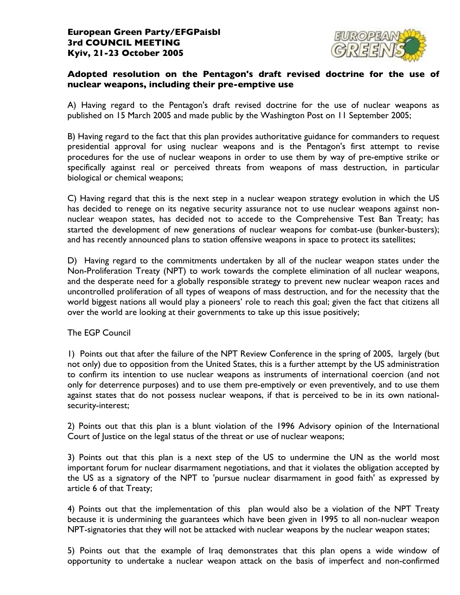

## **Adopted resolution on the Pentagon's draft revised doctrine for the use of nuclear weapons, including their pre-emptive use**

A) Having regard to the Pentagon's draft revised doctrine for the use of nuclear weapons as published on 15 March 2005 and made public by the Washington Post on 11 September 2005;

B) Having regard to the fact that this plan provides authoritative guidance for commanders to request presidential approval for using nuclear weapons and is the Pentagon's first attempt to revise procedures for the use of nuclear weapons in order to use them by way of pre-emptive strike or specifically against real or perceived threats from weapons of mass destruction, in particular biological or chemical weapons;

C) Having regard that this is the next step in a nuclear weapon strategy evolution in which the US has decided to renege on its negative security assurance not to use nuclear weapons against nonnuclear weapon states, has decided not to accede to the Comprehensive Test Ban Treaty; has started the development of new generations of nuclear weapons for combat-use (bunker-busters); and has recently announced plans to station offensive weapons in space to protect its satellites;

D) Having regard to the commitments undertaken by all of the nuclear weapon states under the Non-Proliferation Treaty (NPT) to work towards the complete elimination of all nuclear weapons, and the desperate need for a globally responsible strategy to prevent new nuclear weapon races and uncontrolled proliferation of all types of weapons of mass destruction, and for the necessity that the world biggest nations all would play a pioneers' role to reach this goal; given the fact that citizens all over the world are looking at their governments to take up this issue positively;

The EGP Council

1) Points out that after the failure of the NPT Review Conference in the spring of 2005, largely (but not only) due to opposition from the United States, this is a further attempt by the US administration to confirm its intention to use nuclear weapons as instruments of international coercion (and not only for deterrence purposes) and to use them pre-emptively or even preventively, and to use them against states that do not possess nuclear weapons, if that is perceived to be in its own nationalsecurity-interest;

2) Points out that this plan is a blunt violation of the 1996 Advisory opinion of the International Court of Justice on the legal status of the threat or use of nuclear weapons;

3) Points out that this plan is a next step of the US to undermine the UN as the world most important forum for nuclear disarmament negotiations, and that it violates the obligation accepted by the US as a signatory of the NPT to 'pursue nuclear disarmament in good faith' as expressed by article 6 of that Treaty;

4) Points out that the implementation of this plan would also be a violation of the NPT Treaty because it is undermining the guarantees which have been given in 1995 to all non-nuclear weapon NPT-signatories that they will not be attacked with nuclear weapons by the nuclear weapon states;

5) Points out that the example of Iraq demonstrates that this plan opens a wide window of opportunity to undertake a nuclear weapon attack on the basis of imperfect and non-confirmed